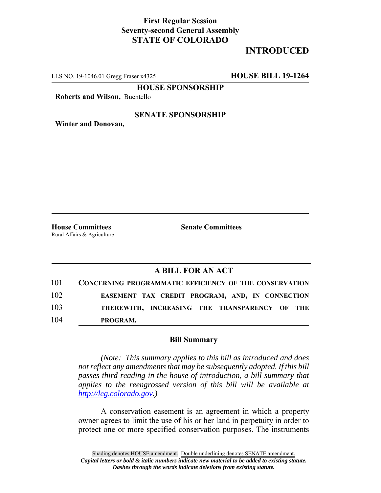## **First Regular Session Seventy-second General Assembly STATE OF COLORADO**

# **INTRODUCED**

LLS NO. 19-1046.01 Gregg Fraser x4325 **HOUSE BILL 19-1264**

**HOUSE SPONSORSHIP**

**Roberts and Wilson,** Buentello

#### **SENATE SPONSORSHIP**

**Winter and Donovan,**

**House Committees Senate Committees** Rural Affairs & Agriculture

### **A BILL FOR AN ACT**

| 101 | <b>CONCERNING PROGRAMMATIC EFFICIENCY OF THE CONSERVATION</b> |
|-----|---------------------------------------------------------------|
| 102 | EASEMENT TAX CREDIT PROGRAM, AND, IN CONNECTION               |
| 103 | THEREWITH, INCREASING THE TRANSPARENCY OF THE                 |
| 104 | PROGRAM.                                                      |

#### **Bill Summary**

*(Note: This summary applies to this bill as introduced and does not reflect any amendments that may be subsequently adopted. If this bill passes third reading in the house of introduction, a bill summary that applies to the reengrossed version of this bill will be available at http://leg.colorado.gov.)*

A conservation easement is an agreement in which a property owner agrees to limit the use of his or her land in perpetuity in order to protect one or more specified conservation purposes. The instruments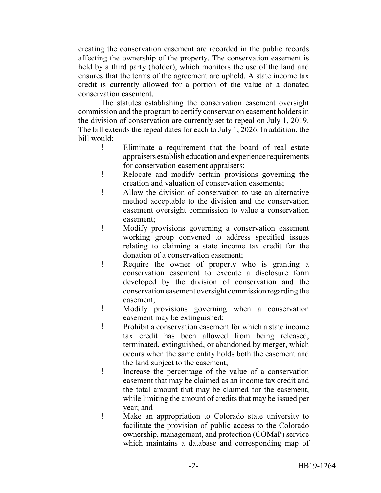creating the conservation easement are recorded in the public records affecting the ownership of the property. The conservation easement is held by a third party (holder), which monitors the use of the land and ensures that the terms of the agreement are upheld. A state income tax credit is currently allowed for a portion of the value of a donated conservation easement.

The statutes establishing the conservation easement oversight commission and the program to certify conservation easement holders in the division of conservation are currently set to repeal on July 1, 2019. The bill extends the repeal dates for each to July 1, 2026. In addition, the bill would:

- ! Eliminate a requirement that the board of real estate appraisers establish education and experience requirements for conservation easement appraisers;
- ! Relocate and modify certain provisions governing the creation and valuation of conservation easements;
- ! Allow the division of conservation to use an alternative method acceptable to the division and the conservation easement oversight commission to value a conservation easement;
- ! Modify provisions governing a conservation easement working group convened to address specified issues relating to claiming a state income tax credit for the donation of a conservation easement;
- ! Require the owner of property who is granting a conservation easement to execute a disclosure form developed by the division of conservation and the conservation easement oversight commission regarding the easement;
- ! Modify provisions governing when a conservation easement may be extinguished;
- ! Prohibit a conservation easement for which a state income tax credit has been allowed from being released, terminated, extinguished, or abandoned by merger, which occurs when the same entity holds both the easement and the land subject to the easement;
- ! Increase the percentage of the value of a conservation easement that may be claimed as an income tax credit and the total amount that may be claimed for the easement, while limiting the amount of credits that may be issued per year; and
- ! Make an appropriation to Colorado state university to facilitate the provision of public access to the Colorado ownership, management, and protection (COMaP) service which maintains a database and corresponding map of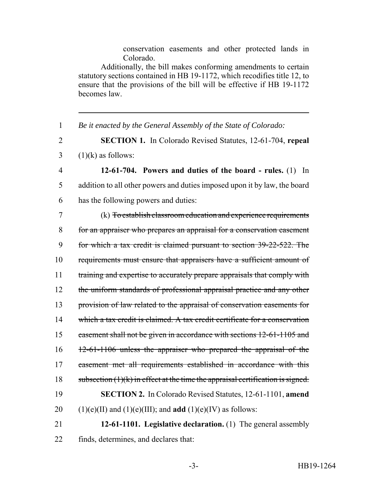conservation easements and other protected lands in Colorado.

Additionally, the bill makes conforming amendments to certain statutory sections contained in HB 19-1172, which recodifies title 12, to ensure that the provisions of the bill will be effective if HB 19-1172 becomes law.

1 *Be it enacted by the General Assembly of the State of Colorado:*

2 **SECTION 1.** In Colorado Revised Statutes, 12-61-704, **repeal**  $3$  (1)(k) as follows:

4 **12-61-704. Powers and duties of the board - rules.** (1) In 5 addition to all other powers and duties imposed upon it by law, the board 6 has the following powers and duties:

 (k) To establish classroom education and experience requirements for an appraiser who prepares an appraisal for a conservation easement for which a tax credit is claimed pursuant to section 39-22-522. The requirements must ensure that appraisers have a sufficient amount of 11 training and expertise to accurately prepare appraisals that comply with 12 the uniform standards of professional appraisal practice and any other provision of law related to the appraisal of conservation easements for which a tax credit is claimed. A tax credit certificate for a conservation 15 easement shall not be given in accordance with sections 12-61-1105 and 12-61-1106 unless the appraiser who prepared the appraisal of the easement met all requirements established in accordance with this 18 subsection  $(1)(k)$  in effect at the time the appraisal certification is signed. **SECTION 2.** In Colorado Revised Statutes, 12-61-1101, **amend** 20 (1)(e)(II) and (1)(e)(III); and **add** (1)(e)(IV) as follows:

21 **12-61-1101. Legislative declaration.** (1) The general assembly 22 finds, determines, and declares that: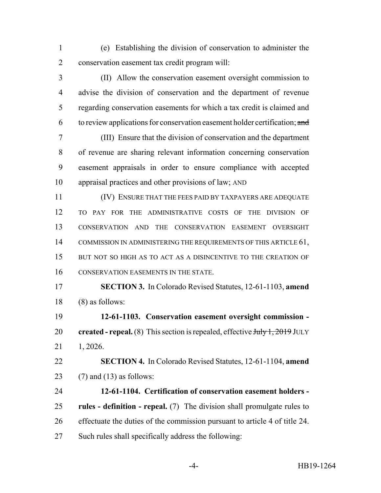(e) Establishing the division of conservation to administer the conservation easement tax credit program will:

 (II) Allow the conservation easement oversight commission to advise the division of conservation and the department of revenue regarding conservation easements for which a tax credit is claimed and 6 to review applications for conservation easement holder certification;  $\alpha$ nd

 (III) Ensure that the division of conservation and the department of revenue are sharing relevant information concerning conservation easement appraisals in order to ensure compliance with accepted appraisal practices and other provisions of law; AND

 (IV) ENSURE THAT THE FEES PAID BY TAXPAYERS ARE ADEQUATE TO PAY FOR THE ADMINISTRATIVE COSTS OF THE DIVISION OF CONSERVATION AND THE CONSERVATION EASEMENT OVERSIGHT 14 COMMISSION IN ADMINISTERING THE REQUIREMENTS OF THIS ARTICLE 61, 15 BUT NOT SO HIGH AS TO ACT AS A DISINCENTIVE TO THE CREATION OF CONSERVATION EASEMENTS IN THE STATE.

 **SECTION 3.** In Colorado Revised Statutes, 12-61-1103, **amend** (8) as follows:

 **12-61-1103. Conservation easement oversight commission - created - repeal.** (8) This section is repealed, effective Huly 1, 2019 JULY 1, 2026.

 **SECTION 4.** In Colorado Revised Statutes, 12-61-1104, **amend** 23 (7) and (13) as follows:

 **12-61-1104. Certification of conservation easement holders - rules - definition - repeal.** (7) The division shall promulgate rules to effectuate the duties of the commission pursuant to article 4 of title 24. Such rules shall specifically address the following: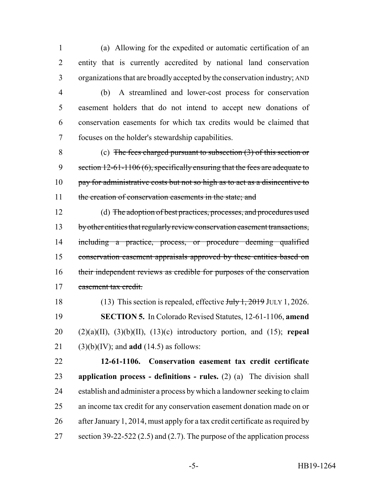(a) Allowing for the expedited or automatic certification of an entity that is currently accredited by national land conservation organizations that are broadly accepted by the conservation industry; AND

 (b) A streamlined and lower-cost process for conservation easement holders that do not intend to accept new donations of

 conservation easements for which tax credits would be claimed that focuses on the holder's stewardship capabilities.

 (c) The fees charged pursuant to subsection (3) of this section or 9 section 12-61-1106 (6), specifically ensuring that the fees are adequate to 10 pay for administrative costs but not so high as to act as a disincentive to 11 the creation of conservation easements in the state; and

 (d) The adoption of best practices, processes, and procedures used 13 by other entities that regularly review conservation easement transactions, 14 including a practice, process, or procedure deeming qualified conservation easement appraisals approved by these entities based on their independent reviews as credible for purposes of the conservation easement tax credit.

18 (13) This section is repealed, effective July 1, 2019 JULY 1, 2026. **SECTION 5.** In Colorado Revised Statutes, 12-61-1106, **amend** (2)(a)(II), (3)(b)(II), (13)(c) introductory portion, and (15); **repeal** (3)(b)(IV); and **add** (14.5) as follows:

 **12-61-1106. Conservation easement tax credit certificate application process - definitions - rules.** (2) (a) The division shall establish and administer a process by which a landowner seeking to claim an income tax credit for any conservation easement donation made on or after January 1, 2014, must apply for a tax credit certificate as required by 27 section 39-22-522 (2.5) and (2.7). The purpose of the application process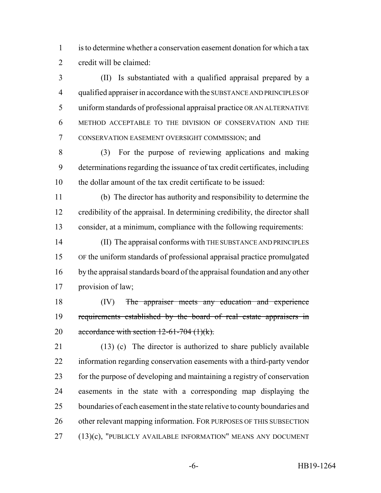is to determine whether a conservation easement donation for which a tax credit will be claimed:

 (II) Is substantiated with a qualified appraisal prepared by a qualified appraiser in accordance with the SUBSTANCE AND PRINCIPLES OF uniform standards of professional appraisal practice OR AN ALTERNATIVE METHOD ACCEPTABLE TO THE DIVISION OF CONSERVATION AND THE CONSERVATION EASEMENT OVERSIGHT COMMISSION; and

 (3) For the purpose of reviewing applications and making determinations regarding the issuance of tax credit certificates, including the dollar amount of the tax credit certificate to be issued:

 (b) The director has authority and responsibility to determine the credibility of the appraisal. In determining credibility, the director shall consider, at a minimum, compliance with the following requirements:

 (II) The appraisal conforms with THE SUBSTANCE AND PRINCIPLES OF the uniform standards of professional appraisal practice promulgated by the appraisal standards board of the appraisal foundation and any other provision of law;

18 (IV) The appraiser meets any education and experience 19 requirements established by the board of real estate appraisers in 20 accordance with section  $12-61-704$  (1)(k).

 (13) (c) The director is authorized to share publicly available information regarding conservation easements with a third-party vendor for the purpose of developing and maintaining a registry of conservation easements in the state with a corresponding map displaying the boundaries of each easement in the state relative to county boundaries and 26 other relevant mapping information. FOR PURPOSES OF THIS SUBSECTION (13)(c), "PUBLICLY AVAILABLE INFORMATION" MEANS ANY DOCUMENT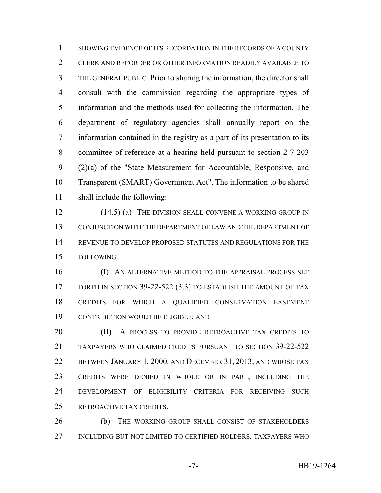SHOWING EVIDENCE OF ITS RECORDATION IN THE RECORDS OF A COUNTY CLERK AND RECORDER OR OTHER INFORMATION READILY AVAILABLE TO THE GENERAL PUBLIC. Prior to sharing the information, the director shall consult with the commission regarding the appropriate types of information and the methods used for collecting the information. The department of regulatory agencies shall annually report on the information contained in the registry as a part of its presentation to its committee of reference at a hearing held pursuant to section 2-7-203 (2)(a) of the "State Measurement for Accountable, Responsive, and Transparent (SMART) Government Act". The information to be shared shall include the following:

12 (14.5) (a) THE DIVISION SHALL CONVENE A WORKING GROUP IN CONJUNCTION WITH THE DEPARTMENT OF LAW AND THE DEPARTMENT OF REVENUE TO DEVELOP PROPOSED STATUTES AND REGULATIONS FOR THE FOLLOWING:

16 (I) AN ALTERNATIVE METHOD TO THE APPRAISAL PROCESS SET 17 FORTH IN SECTION 39-22-522 (3.3) TO ESTABLISH THE AMOUNT OF TAX CREDITS FOR WHICH A QUALIFIED CONSERVATION EASEMENT CONTRIBUTION WOULD BE ELIGIBLE; AND

**(II)** A PROCESS TO PROVIDE RETROACTIVE TAX CREDITS TO TAXPAYERS WHO CLAIMED CREDITS PURSUANT TO SECTION 39-22-522 BETWEEN JANUARY 1, 2000, AND DECEMBER 31, 2013, AND WHOSE TAX CREDITS WERE DENIED IN WHOLE OR IN PART, INCLUDING THE DEVELOPMENT OF ELIGIBILITY CRITERIA FOR RECEIVING SUCH RETROACTIVE TAX CREDITS.

 (b) THE WORKING GROUP SHALL CONSIST OF STAKEHOLDERS INCLUDING BUT NOT LIMITED TO CERTIFIED HOLDERS, TAXPAYERS WHO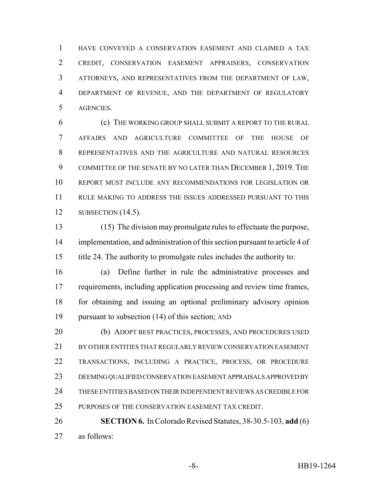HAVE CONVEYED A CONSERVATION EASEMENT AND CLAIMED A TAX CREDIT, CONSERVATION EASEMENT APPRAISERS, CONSERVATION ATTORNEYS, AND REPRESENTATIVES FROM THE DEPARTMENT OF LAW, DEPARTMENT OF REVENUE, AND THE DEPARTMENT OF REGULATORY AGENCIES.

 (c) THE WORKING GROUP SHALL SUBMIT A REPORT TO THE RURAL AFFAIRS AND AGRICULTURE COMMITTEE OF THE HOUSE OF REPRESENTATIVES AND THE AGRICULTURE AND NATURAL RESOURCES COMMITTEE OF THE SENATE BY NO LATER THAN DECEMBER 1, 2019. THE REPORT MUST INCLUDE ANY RECOMMENDATIONS FOR LEGISLATION OR RULE MAKING TO ADDRESS THE ISSUES ADDRESSED PURSUANT TO THIS SUBSECTION (14.5).

 (15) The division may promulgate rules to effectuate the purpose, implementation, and administration of this section pursuant to article 4 of title 24. The authority to promulgate rules includes the authority to:

 (a) Define further in rule the administrative processes and requirements, including application processing and review time frames, for obtaining and issuing an optional preliminary advisory opinion pursuant to subsection (14) of this section; AND

 (b) ADOPT BEST PRACTICES, PROCESSES, AND PROCEDURES USED BY OTHER ENTITIES THAT REGULARLY REVIEW CONSERVATION EASEMENT TRANSACTIONS, INCLUDING A PRACTICE, PROCESS, OR PROCEDURE DEEMING QUALIFIED CONSERVATION EASEMENT APPRAISALS APPROVED BY THESE ENTITIES BASED ON THEIR INDEPENDENT REVIEWS AS CREDIBLE FOR PURPOSES OF THE CONSERVATION EASEMENT TAX CREDIT.

 **SECTION 6.** In Colorado Revised Statutes, 38-30.5-103, **add** (6) as follows: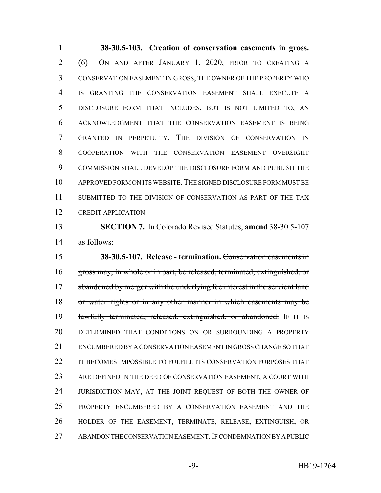**38-30.5-103. Creation of conservation easements in gross.** (6) ON AND AFTER JANUARY 1, 2020, PRIOR TO CREATING A CONSERVATION EASEMENT IN GROSS, THE OWNER OF THE PROPERTY WHO IS GRANTING THE CONSERVATION EASEMENT SHALL EXECUTE A DISCLOSURE FORM THAT INCLUDES, BUT IS NOT LIMITED TO, AN ACKNOWLEDGMENT THAT THE CONSERVATION EASEMENT IS BEING GRANTED IN PERPETUITY. THE DIVISION OF CONSERVATION IN COOPERATION WITH THE CONSERVATION EASEMENT OVERSIGHT COMMISSION SHALL DEVELOP THE DISCLOSURE FORM AND PUBLISH THE APPROVED FORM ON ITS WEBSITE.THE SIGNED DISCLOSURE FORM MUST BE 11 SUBMITTED TO THE DIVISION OF CONSERVATION AS PART OF THE TAX CREDIT APPLICATION.

 **SECTION 7.** In Colorado Revised Statutes, **amend** 38-30.5-107 as follows:

 **38-30.5-107. Release - termination.** Conservation easements in gross may, in whole or in part, be released, terminated, extinguished, or 17 abandoned by merger with the underlying fee interest in the servient land or water rights or in any other manner in which easements may be 19 lawfully terminated, released, extinguished, or abandoned. IF IT IS DETERMINED THAT CONDITIONS ON OR SURROUNDING A PROPERTY ENCUMBERED BY A CONSERVATION EASEMENT IN GROSS CHANGE SO THAT 22 IT BECOMES IMPOSSIBLE TO FULFILL ITS CONSERVATION PURPOSES THAT ARE DEFINED IN THE DEED OF CONSERVATION EASEMENT, A COURT WITH 24 JURISDICTION MAY, AT THE JOINT REQUEST OF BOTH THE OWNER OF PROPERTY ENCUMBERED BY A CONSERVATION EASEMENT AND THE HOLDER OF THE EASEMENT, TERMINATE, RELEASE, EXTINGUISH, OR ABANDON THE CONSERVATION EASEMENT.IF CONDEMNATION BY A PUBLIC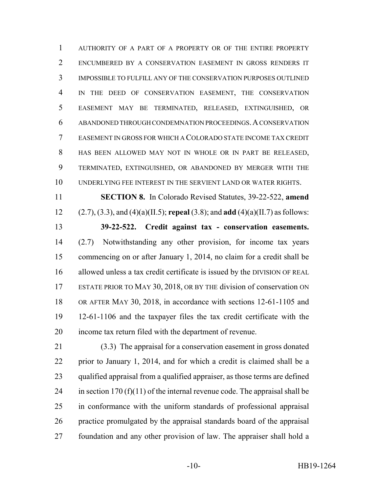AUTHORITY OF A PART OF A PROPERTY OR OF THE ENTIRE PROPERTY ENCUMBERED BY A CONSERVATION EASEMENT IN GROSS RENDERS IT IMPOSSIBLE TO FULFILL ANY OF THE CONSERVATION PURPOSES OUTLINED IN THE DEED OF CONSERVATION EASEMENT, THE CONSERVATION EASEMENT MAY BE TERMINATED, RELEASED, EXTINGUISHED, OR ABANDONED THROUGH CONDEMNATION PROCEEDINGS.A CONSERVATION EASEMENT IN GROSS FOR WHICH A COLORADO STATE INCOME TAX CREDIT HAS BEEN ALLOWED MAY NOT IN WHOLE OR IN PART BE RELEASED, TERMINATED, EXTINGUISHED, OR ABANDONED BY MERGER WITH THE UNDERLYING FEE INTEREST IN THE SERVIENT LAND OR WATER RIGHTS.

 **SECTION 8.** In Colorado Revised Statutes, 39-22-522, **amend** (2.7), (3.3), and (4)(a)(II.5); **repeal** (3.8); and **add** (4)(a)(II.7) as follows: **39-22-522. Credit against tax - conservation easements.** (2.7) Notwithstanding any other provision, for income tax years commencing on or after January 1, 2014, no claim for a credit shall be allowed unless a tax credit certificate is issued by the DIVISION OF REAL 17 ESTATE PRIOR TO MAY 30, 2018, OR BY THE division of conservation ON OR AFTER MAY 30, 2018, in accordance with sections 12-61-1105 and 12-61-1106 and the taxpayer files the tax credit certificate with the income tax return filed with the department of revenue.

 (3.3) The appraisal for a conservation easement in gross donated prior to January 1, 2014, and for which a credit is claimed shall be a qualified appraisal from a qualified appraiser, as those terms are defined 24 in section 170 (f)(11) of the internal revenue code. The appraisal shall be in conformance with the uniform standards of professional appraisal practice promulgated by the appraisal standards board of the appraisal foundation and any other provision of law. The appraiser shall hold a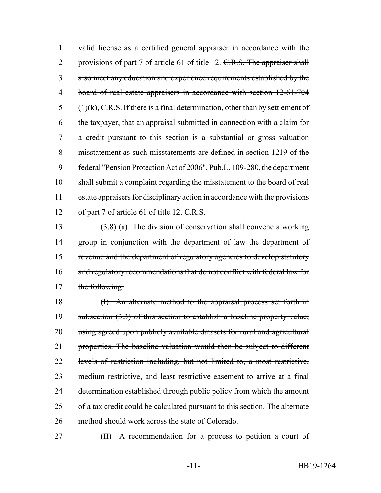valid license as a certified general appraiser in accordance with the 2 provisions of part 7 of article 61 of title 12. C.R.S. The appraiser shall also meet any education and experience requirements established by the board of real estate appraisers in accordance with section 12-61-704  $(H)(k)$ , C.R.S. If there is a final determination, other than by settlement of the taxpayer, that an appraisal submitted in connection with a claim for a credit pursuant to this section is a substantial or gross valuation misstatement as such misstatements are defined in section 1219 of the federal "Pension Protection Act of 2006", Pub.L. 109-280, the department shall submit a complaint regarding the misstatement to the board of real estate appraisers for disciplinary action in accordance with the provisions 12 of part 7 of article 61 of title 12. C.R.S.

 (3.8) (a) The division of conservation shall convene a working 14 group in conjunction with the department of law the department of revenue and the department of regulatory agencies to develop statutory 16 and regulatory recommendations that do not conflict with federal law for 17 the following:

 (I) An alternate method to the appraisal process set forth in 19 subsection (3.3) of this section to establish a baseline property value, using agreed upon publicly available datasets for rural and agricultural properties. The baseline valuation would then be subject to different levels of restriction including, but not limited to, a most restrictive, medium restrictive, and least restrictive easement to arrive at a final 24 determination established through public policy from which the amount 25 of a tax credit could be calculated pursuant to this section. The alternate method should work across the state of Colorado.

(II) A recommendation for a process to petition a court of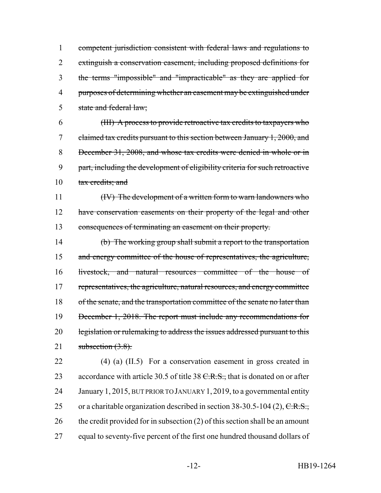competent jurisdiction consistent with federal laws and regulations to extinguish a conservation easement, including proposed definitions for the terms "impossible" and "impracticable" as they are applied for purposes of determining whether an easement may be extinguished under state and federal law;

 (III) A process to provide retroactive tax credits to taxpayers who claimed tax credits pursuant to this section between January 1, 2000, and December 31, 2008, and whose tax credits were denied in whole or in part, including the development of eligibility criteria for such retroactive 10 tax credits; and

11 (IV) The development of a written form to warn landowners who 12 have conservation easements on their property of the legal and other 13 consequences of terminating an easement on their property.

14 (b) The working group shall submit a report to the transportation 15 and energy committee of the house of representatives, the agriculture, 16 livestock, and natural resources committee of the house of 17 representatives, the agriculture, natural resources, and energy committee 18 of the senate, and the transportation committee of the senate no later than 19 December 1, 2018. The report must include any recommendations for 20 legislation or rulemaking to address the issues addressed pursuant to this 21 subsection  $(3.8)$ .

22 (4) (a) (II.5) For a conservation easement in gross created in 23 accordance with article 30.5 of title 38  $C.R.S.,$  that is donated on or after 24 January 1, 2015, BUT PRIOR TO JANUARY 1,2019, to a governmental entity 25 or a charitable organization described in section  $38-30.5-104$  (2), C.R.S., 26 the credit provided for in subsection (2) of this section shall be an amount 27 equal to seventy-five percent of the first one hundred thousand dollars of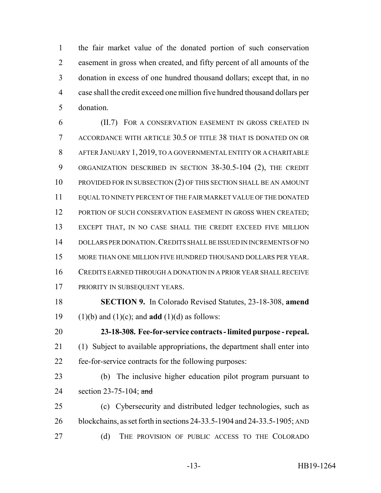the fair market value of the donated portion of such conservation easement in gross when created, and fifty percent of all amounts of the donation in excess of one hundred thousand dollars; except that, in no case shall the credit exceed one million five hundred thousand dollars per donation.

 (II.7) FOR A CONSERVATION EASEMENT IN GROSS CREATED IN ACCORDANCE WITH ARTICLE 30.5 OF TITLE 38 THAT IS DONATED ON OR AFTER JANUARY 1, 2019, TO A GOVERNMENTAL ENTITY OR A CHARITABLE ORGANIZATION DESCRIBED IN SECTION 38-30.5-104 (2), THE CREDIT 10 PROVIDED FOR IN SUBSECTION (2) OF THIS SECTION SHALL BE AN AMOUNT EQUAL TO NINETY PERCENT OF THE FAIR MARKET VALUE OF THE DONATED 12 PORTION OF SUCH CONSERVATION EASEMENT IN GROSS WHEN CREATED; EXCEPT THAT, IN NO CASE SHALL THE CREDIT EXCEED FIVE MILLION DOLLARS PER DONATION.CREDITS SHALL BE ISSUED IN INCREMENTS OF NO MORE THAN ONE MILLION FIVE HUNDRED THOUSAND DOLLARS PER YEAR. CREDITS EARNED THROUGH A DONATION IN A PRIOR YEAR SHALL RECEIVE 17 PRIORITY IN SUBSEQUENT YEARS.

 **SECTION 9.** In Colorado Revised Statutes, 23-18-308, **amend** (1)(b) and (1)(c); and **add** (1)(d) as follows:

 **23-18-308. Fee-for-service contracts - limited purpose - repeal.** (1) Subject to available appropriations, the department shall enter into fee-for-service contracts for the following purposes:

- (b) The inclusive higher education pilot program pursuant to 24 section 23-75-104; and
- (c) Cybersecurity and distributed ledger technologies, such as blockchains, as set forth in sections 24-33.5-1904 and 24-33.5-1905; AND (d) THE PROVISION OF PUBLIC ACCESS TO THE COLORADO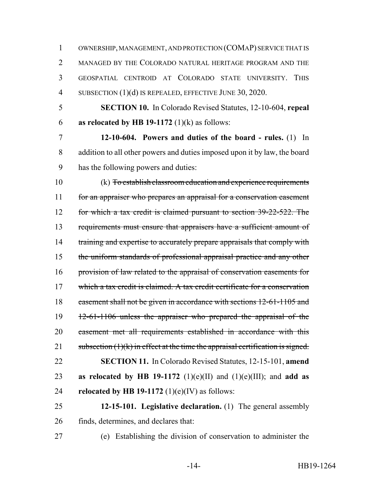OWNERSHIP, MANAGEMENT, AND PROTECTION (COMAP) SERVICE THAT IS MANAGED BY THE COLORADO NATURAL HERITAGE PROGRAM AND THE GEOSPATIAL CENTROID AT COLORADO STATE UNIVERSITY. THIS 4 SUBSECTION (1)(d) IS REPEALED, EFFECTIVE JUNE 30, 2020.

 **SECTION 10.** In Colorado Revised Statutes, 12-10-604, **repeal as relocated by HB 19-1172** (1)(k) as follows:

 **12-10-604. Powers and duties of the board - rules.** (1) In addition to all other powers and duties imposed upon it by law, the board has the following powers and duties:

 (k) To establish classroom education and experience requirements 11 for an appraiser who prepares an appraisal for a conservation easement for which a tax credit is claimed pursuant to section 39-22-522. The requirements must ensure that appraisers have a sufficient amount of 14 training and expertise to accurately prepare appraisals that comply with the uniform standards of professional appraisal practice and any other provision of law related to the appraisal of conservation easements for which a tax credit is claimed. A tax credit certificate for a conservation easement shall not be given in accordance with sections 12-61-1105 and 12-61-1106 unless the appraiser who prepared the appraisal of the easement met all requirements established in accordance with this 21 subsection  $(1)(k)$  in effect at the time the appraisal certification is signed. **SECTION 11.** In Colorado Revised Statutes, 12-15-101, **amend as relocated by HB 19-1172** (1)(e)(II) and (1)(e)(III); and **add as relocated by HB 19-1172** (1)(e)(IV) as follows:

 **12-15-101. Legislative declaration.** (1) The general assembly finds, determines, and declares that:

(e) Establishing the division of conservation to administer the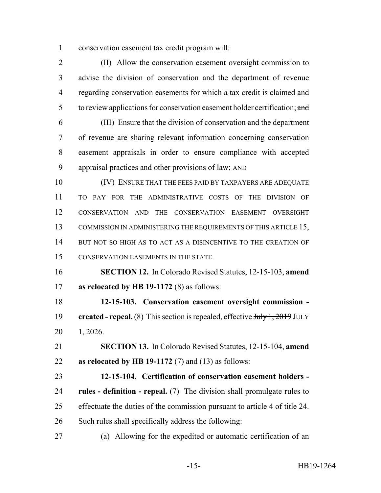conservation easement tax credit program will:

 (II) Allow the conservation easement oversight commission to advise the division of conservation and the department of revenue regarding conservation easements for which a tax credit is claimed and 5 to review applications for conservation easement holder certification; and

 (III) Ensure that the division of conservation and the department of revenue are sharing relevant information concerning conservation easement appraisals in order to ensure compliance with accepted appraisal practices and other provisions of law; AND

 (IV) ENSURE THAT THE FEES PAID BY TAXPAYERS ARE ADEQUATE TO PAY FOR THE ADMINISTRATIVE COSTS OF THE DIVISION OF CONSERVATION AND THE CONSERVATION EASEMENT OVERSIGHT COMMISSION IN ADMINISTERING THE REQUIREMENTS OF THIS ARTICLE 15, 14 BUT NOT SO HIGH AS TO ACT AS A DISINCENTIVE TO THE CREATION OF CONSERVATION EASEMENTS IN THE STATE.

 **SECTION 12.** In Colorado Revised Statutes, 12-15-103, **amend as relocated by HB 19-1172** (8) as follows:

 **12-15-103. Conservation easement oversight commission -** 19 **created - repeal.** (8) This section is repealed, effective  $\frac{\text{H}_y}{1,2019}$  JULY 1, 2026.

 **SECTION 13.** In Colorado Revised Statutes, 12-15-104, **amend as relocated by HB 19-1172** (7) and (13) as follows:

 **12-15-104. Certification of conservation easement holders - rules - definition - repeal.** (7) The division shall promulgate rules to effectuate the duties of the commission pursuant to article 4 of title 24. Such rules shall specifically address the following:

(a) Allowing for the expedited or automatic certification of an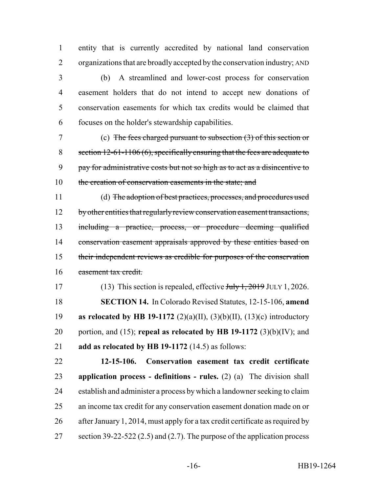entity that is currently accredited by national land conservation organizations that are broadly accepted by the conservation industry; AND

 (b) A streamlined and lower-cost process for conservation easement holders that do not intend to accept new donations of conservation easements for which tax credits would be claimed that focuses on the holder's stewardship capabilities.

 (c) The fees charged pursuant to subsection (3) of this section or section 12-61-1106 (6), specifically ensuring that the fees are adequate to pay for administrative costs but not so high as to act as a disincentive to 10 the creation of conservation easements in the state; and

 (d) The adoption of best practices, processes, and procedures used 12 by other entities that regularly review conservation easement transactions, including a practice, process, or procedure deeming qualified 14 conservation easement appraisals approved by these entities based on their independent reviews as credible for purposes of the conservation easement tax credit.

17 (13) This section is repealed, effective July 1, 2019 JULY 1, 2026. **SECTION 14.** In Colorado Revised Statutes, 12-15-106, **amend as relocated by HB 19-1172** (2)(a)(II), (3)(b)(II), (13)(c) introductory portion, and (15); **repeal as relocated by HB 19-1172** (3)(b)(IV); and **add as relocated by HB 19-1172** (14.5) as follows:

 **12-15-106. Conservation easement tax credit certificate application process - definitions - rules.** (2) (a) The division shall establish and administer a process by which a landowner seeking to claim an income tax credit for any conservation easement donation made on or after January 1, 2014, must apply for a tax credit certificate as required by 27 section 39-22-522 (2.5) and (2.7). The purpose of the application process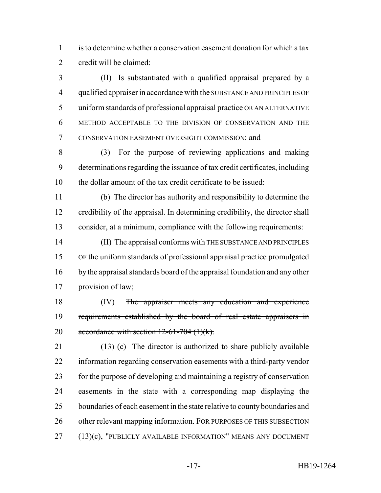is to determine whether a conservation easement donation for which a tax credit will be claimed:

 (II) Is substantiated with a qualified appraisal prepared by a qualified appraiser in accordance with the SUBSTANCE AND PRINCIPLES OF uniform standards of professional appraisal practice OR AN ALTERNATIVE METHOD ACCEPTABLE TO THE DIVISION OF CONSERVATION AND THE CONSERVATION EASEMENT OVERSIGHT COMMISSION; and

 (3) For the purpose of reviewing applications and making determinations regarding the issuance of tax credit certificates, including the dollar amount of the tax credit certificate to be issued:

 (b) The director has authority and responsibility to determine the credibility of the appraisal. In determining credibility, the director shall consider, at a minimum, compliance with the following requirements:

 (II) The appraisal conforms with THE SUBSTANCE AND PRINCIPLES OF the uniform standards of professional appraisal practice promulgated by the appraisal standards board of the appraisal foundation and any other provision of law;

18 (IV) <del>The appraiser meets any education and experience</del> 19 requirements established by the board of real estate appraisers in 20 accordance with section  $12-61-704$  (1)(k).

 (13) (c) The director is authorized to share publicly available information regarding conservation easements with a third-party vendor for the purpose of developing and maintaining a registry of conservation easements in the state with a corresponding map displaying the boundaries of each easement in the state relative to county boundaries and 26 other relevant mapping information. FOR PURPOSES OF THIS SUBSECTION 27 (13)(c), "PUBLICLY AVAILABLE INFORMATION" MEANS ANY DOCUMENT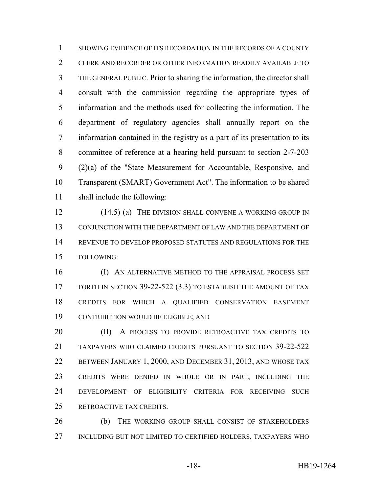SHOWING EVIDENCE OF ITS RECORDATION IN THE RECORDS OF A COUNTY CLERK AND RECORDER OR OTHER INFORMATION READILY AVAILABLE TO THE GENERAL PUBLIC. Prior to sharing the information, the director shall consult with the commission regarding the appropriate types of information and the methods used for collecting the information. The department of regulatory agencies shall annually report on the information contained in the registry as a part of its presentation to its committee of reference at a hearing held pursuant to section 2-7-203 (2)(a) of the "State Measurement for Accountable, Responsive, and Transparent (SMART) Government Act". The information to be shared shall include the following:

12 (14.5) (a) THE DIVISION SHALL CONVENE A WORKING GROUP IN CONJUNCTION WITH THE DEPARTMENT OF LAW AND THE DEPARTMENT OF REVENUE TO DEVELOP PROPOSED STATUTES AND REGULATIONS FOR THE FOLLOWING:

**(I) AN ALTERNATIVE METHOD TO THE APPRAISAL PROCESS SET** 17 FORTH IN SECTION 39-22-522 (3.3) TO ESTABLISH THE AMOUNT OF TAX CREDITS FOR WHICH A QUALIFIED CONSERVATION EASEMENT CONTRIBUTION WOULD BE ELIGIBLE; AND

**(II)** A PROCESS TO PROVIDE RETROACTIVE TAX CREDITS TO TAXPAYERS WHO CLAIMED CREDITS PURSUANT TO SECTION 39-22-522 BETWEEN JANUARY 1, 2000, AND DECEMBER 31, 2013, AND WHOSE TAX CREDITS WERE DENIED IN WHOLE OR IN PART, INCLUDING THE DEVELOPMENT OF ELIGIBILITY CRITERIA FOR RECEIVING SUCH RETROACTIVE TAX CREDITS.

 (b) THE WORKING GROUP SHALL CONSIST OF STAKEHOLDERS INCLUDING BUT NOT LIMITED TO CERTIFIED HOLDERS, TAXPAYERS WHO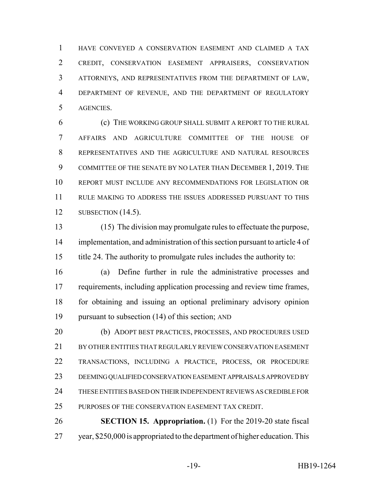HAVE CONVEYED A CONSERVATION EASEMENT AND CLAIMED A TAX CREDIT, CONSERVATION EASEMENT APPRAISERS, CONSERVATION ATTORNEYS, AND REPRESENTATIVES FROM THE DEPARTMENT OF LAW, DEPARTMENT OF REVENUE, AND THE DEPARTMENT OF REGULATORY AGENCIES.

 (c) THE WORKING GROUP SHALL SUBMIT A REPORT TO THE RURAL AFFAIRS AND AGRICULTURE COMMITTEE OF THE HOUSE OF REPRESENTATIVES AND THE AGRICULTURE AND NATURAL RESOURCES COMMITTEE OF THE SENATE BY NO LATER THAN DECEMBER 1, 2019. THE REPORT MUST INCLUDE ANY RECOMMENDATIONS FOR LEGISLATION OR RULE MAKING TO ADDRESS THE ISSUES ADDRESSED PURSUANT TO THIS SUBSECTION (14.5).

 (15) The division may promulgate rules to effectuate the purpose, implementation, and administration of this section pursuant to article 4 of title 24. The authority to promulgate rules includes the authority to:

 (a) Define further in rule the administrative processes and requirements, including application processing and review time frames, for obtaining and issuing an optional preliminary advisory opinion pursuant to subsection (14) of this section; AND

 (b) ADOPT BEST PRACTICES, PROCESSES, AND PROCEDURES USED BY OTHER ENTITIES THAT REGULARLY REVIEW CONSERVATION EASEMENT TRANSACTIONS, INCLUDING A PRACTICE, PROCESS, OR PROCEDURE DEEMING QUALIFIED CONSERVATION EASEMENT APPRAISALS APPROVED BY THESE ENTITIES BASED ON THEIR INDEPENDENT REVIEWS AS CREDIBLE FOR PURPOSES OF THE CONSERVATION EASEMENT TAX CREDIT.

 **SECTION 15. Appropriation.** (1) For the 2019-20 state fiscal year, \$250,000 is appropriated to the department of higher education. This